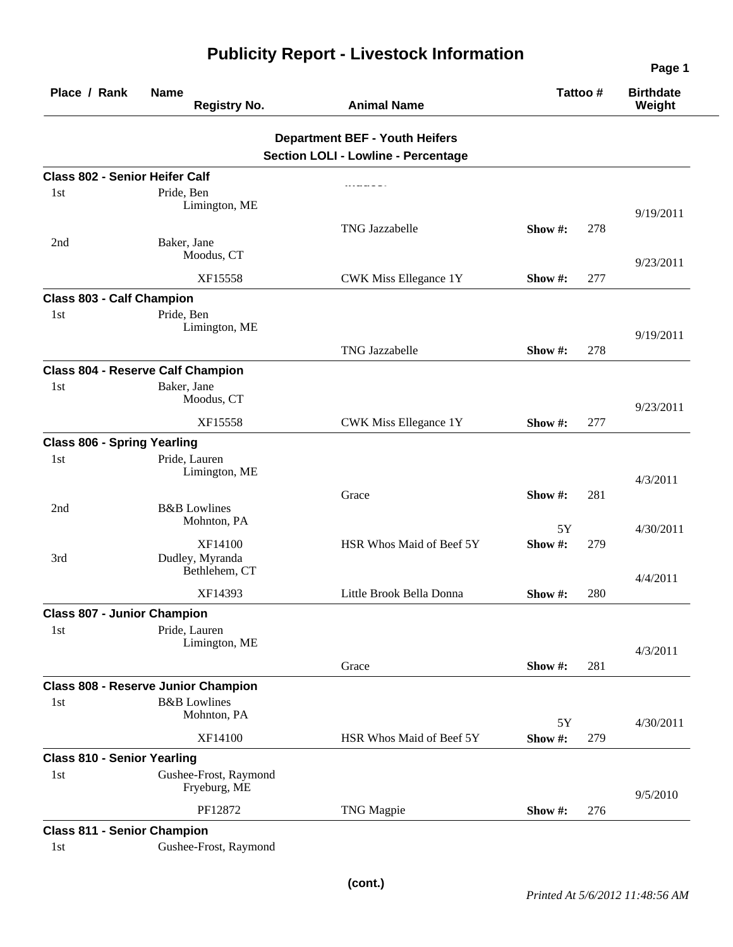| Place / Rank                          | <b>Name</b><br><b>Registry No.</b>         | <b>Animal Name</b>                                                                  | Tattoo#     |     | <b>Birthdate</b><br>Weight |
|---------------------------------------|--------------------------------------------|-------------------------------------------------------------------------------------|-------------|-----|----------------------------|
|                                       |                                            | <b>Department BEF - Youth Heifers</b><br><b>Section LOLI - Lowline - Percentage</b> |             |     |                            |
| <b>Class 802 - Senior Heifer Calf</b> |                                            |                                                                                     |             |     |                            |
| 1 <sub>st</sub>                       | Pride, Ben                                 |                                                                                     |             |     |                            |
|                                       | Limington, ME                              |                                                                                     |             |     | 9/19/2011                  |
|                                       |                                            | <b>TNG Jazzabelle</b>                                                               | Show $\#$ : | 278 |                            |
| 2nd                                   | Baker, Jane<br>Moodus, CT                  |                                                                                     |             |     | 9/23/2011                  |
|                                       | XF15558                                    | CWK Miss Ellegance 1Y                                                               | Show $#$ :  | 277 |                            |
| <b>Class 803 - Calf Champion</b>      |                                            |                                                                                     |             |     |                            |
| 1 <sub>st</sub>                       | Pride, Ben<br>Limington, ME                |                                                                                     |             |     | 9/19/2011                  |
|                                       |                                            | TNG Jazzabelle                                                                      | Show $\#$ : | 278 |                            |
|                                       | <b>Class 804 - Reserve Calf Champion</b>   |                                                                                     |             |     |                            |
| 1st                                   | Baker, Jane<br>Moodus, CT                  |                                                                                     |             |     |                            |
|                                       | XF15558                                    | <b>CWK Miss Ellegance 1Y</b>                                                        | Show $#$ :  | 277 | 9/23/2011                  |
| <b>Class 806 - Spring Yearling</b>    |                                            |                                                                                     |             |     |                            |
| 1 <sub>st</sub>                       | Pride, Lauren                              |                                                                                     |             |     |                            |
|                                       | Limington, ME                              |                                                                                     |             |     | 4/3/2011                   |
|                                       |                                            | Grace                                                                               | Show #:     | 281 |                            |
| 2nd                                   | <b>B&amp;B</b> Lowlines<br>Mohnton, PA     |                                                                                     | 5Y          |     | 4/30/2011                  |
|                                       | XF14100                                    | HSR Whos Maid of Beef 5Y                                                            | Show#:      | 279 |                            |
| 3rd                                   | Dudley, Myranda<br>Bethlehem, CT           |                                                                                     |             |     |                            |
|                                       | XF14393                                    | Little Brook Bella Donna                                                            | Show#:      | 280 | 4/4/2011                   |
| <b>Class 807 - Junior Champion</b>    |                                            |                                                                                     |             |     |                            |
| 1st                                   | Pride, Lauren                              |                                                                                     |             |     |                            |
|                                       | Limington, ME                              |                                                                                     |             |     | 4/3/2011                   |
|                                       |                                            | Grace                                                                               | Show #:     | 281 |                            |
|                                       | <b>Class 808 - Reserve Junior Champion</b> |                                                                                     |             |     |                            |
| 1st                                   | <b>B&amp;B</b> Lowlines                    |                                                                                     |             |     |                            |
|                                       | Mohnton, PA                                |                                                                                     | 5Y          |     | 4/30/2011                  |
|                                       | XF14100                                    | HSR Whos Maid of Beef 5Y                                                            | Show #:     | 279 |                            |
| <b>Class 810 - Senior Yearling</b>    |                                            |                                                                                     |             |     |                            |
| 1st                                   | Gushee-Frost, Raymond<br>Fryeburg, ME      |                                                                                     |             |     | 9/5/2010                   |
|                                       | PF12872                                    | <b>TNG Magpie</b>                                                                   | Show $#$ :  | 276 |                            |
| <b>Class 811 - Senior Champion</b>    |                                            |                                                                                     |             |     |                            |
| 1st                                   | Gushee-Frost, Raymond                      |                                                                                     |             |     |                            |

## **Publicity Report - Livestock Information**

**Page 1**